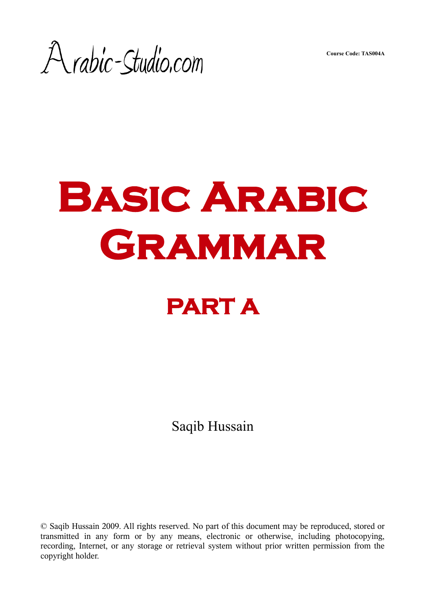**Course Code: TAS004A**

A rabic-Studio.com

# **Basic Arabic Grammar**

# **PART A**

Saqib Hussain

© Saqib Hussain 2009. All rights reserved. No part of this document may be reproduced, stored or transmitted in any form or by any means, electronic or otherwise, including photocopying, recording, Internet, or any storage or retrieval system without prior written permission from the copyright holder.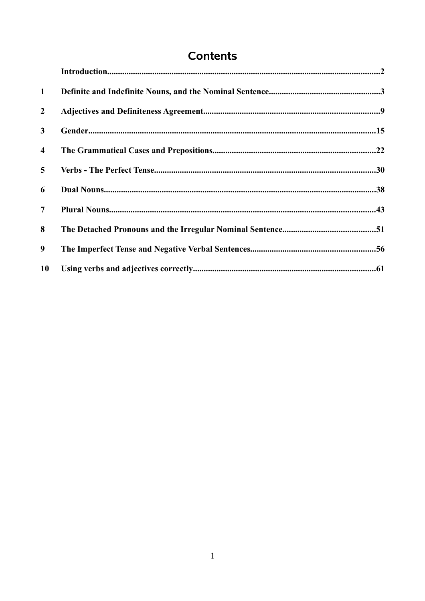# **Contents**

| $\mathbf{1}$            |  |
|-------------------------|--|
| $\overline{2}$          |  |
| $\mathbf{3}$            |  |
| $\overline{\mathbf{4}}$ |  |
| $5\overline{)}$         |  |
| 6                       |  |
| 7 <sup>7</sup>          |  |
| 8                       |  |
| 9 <sup>°</sup>          |  |
| <b>10</b>               |  |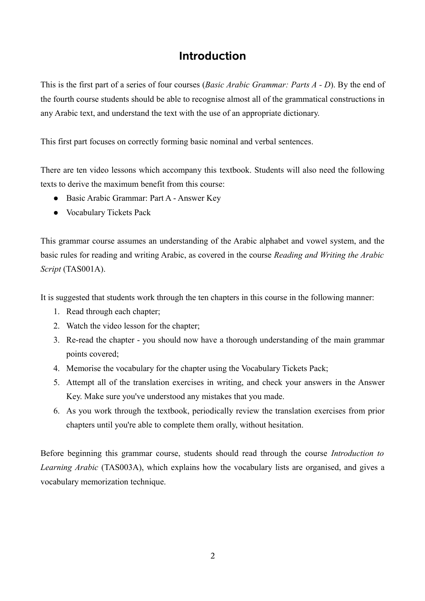# **Introduction**

This is the first part of a series of four courses (*Basic Arabic Grammar: Parts A - D*). By the end of the fourth course students should be able to recognise almost all of the grammatical constructions in any Arabic text, and understand the text with the use of an appropriate dictionary.

This first part focuses on correctly forming basic nominal and verbal sentences.

There are ten video lessons which accompany this textbook. Students will also need the following texts to derive the maximum benefit from this course:

- Basic Arabic Grammar: Part A Answer Key
- Vocabulary Tickets Pack

This grammar course assumes an understanding of the Arabic alphabet and vowel system, and the basic rules for reading and writing Arabic, as covered in the course *Reading and Writing the Arabic Script* (TAS001A).

It is suggested that students work through the ten chapters in this course in the following manner:

- 1. Read through each chapter;
- 2. Watch the video lesson for the chapter;
- 3. Re-read the chapter you should now have a thorough understanding of the main grammar points covered;
- 4. Memorise the vocabulary for the chapter using the Vocabulary Tickets Pack;
- 5. Attempt all of the translation exercises in writing, and check your answers in the Answer Key. Make sure you've understood any mistakes that you made.
- 6. As you work through the textbook, periodically review the translation exercises from prior chapters until you're able to complete them orally, without hesitation.

Before beginning this grammar course, students should read through the course *Introduction to Learning Arabic* (TAS003A), which explains how the vocabulary lists are organised, and gives a vocabulary memorization technique.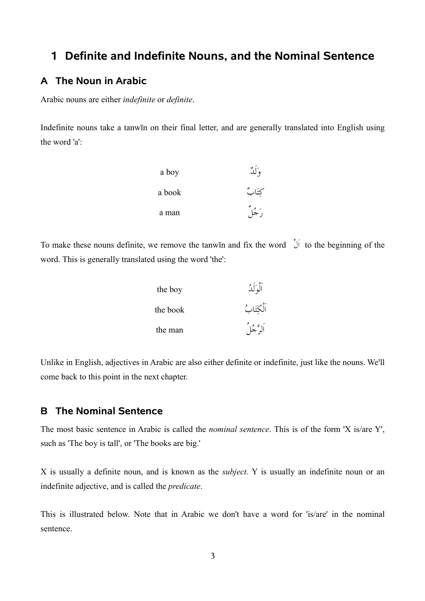# **1 Definite and Indefinite Nouns, and the Nominal Sentence**

### **A The Noun in Arabic**

Arabic nouns are either *indefinite* or *definite*.

Indefinite nouns take a tanwīn on their final letter, and are generally translated into English using the word 'a':

| a boy  | $\mathcal{C}$ |
|--------|---------------|
| a book | كتَابٌ        |
| a man  | ر مع مع       |

To make these nouns definite, we remove the tanwin and fix the word  $\hat{U}$  to the beginning of the word. This is generally translated using the word 'the':

| the boy  | أَلْمَ لَٰذُ |
|----------|--------------|
| the book | اَلْكِتَابُ  |
| the man  | ألوَّجُلُ    |

Unlike in English, adjectives in Arabic are also either definite or indefinite, just like the nouns. We'll come back to this point in the next chapter.

#### **B The Nominal Sentence**

The most basic sentence in Arabic is called the *nominal sentence*. This is of the form 'X is/are Y', such as 'The boy is tall', or 'The books are big.'

X is usually a definite noun, and is known as the *subject*. Y is usually an indefinite noun or an indefinite adjective, and is called the *predicate*.

This is illustrated below. Note that in Arabic we don't have a word for 'is/are' in the nominal sentence.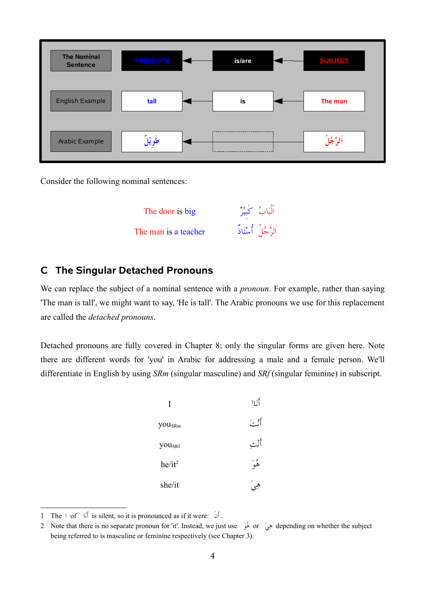| <b>The Nominal</b><br><b>Sentence</b> | <b>PREDICATE</b> | is/are | <b>SUBJECT</b> |
|---------------------------------------|------------------|--------|----------------|
| English Example                       | tall             | is     | The man        |
| Arabic Example                        | طويْل            |        | ألوهجو         |

Consider the following nominal sentences:

الباب كبير big is door The الرجل أستاذ teacher a is man The

#### **C The Singular Detached Pronouns**

We can replace the subject of a nominal sentence with a *pronoun*. For example, rather than saying 'The man is tall', we might want to say, 'He is tall'. The Arabic pronouns we use for this replacement are called the *detached pronouns*.

Detached pronouns are fully covered in Chapter 8; only the singular forms are given here. Note there are different words for 'you' in Arabic for addressing a male and a female person. We'll differentiate in English by using *SRm* (singular masculine) and *SRf* (singular feminine) in subscript.

| I                  | أناا     |
|--------------------|----------|
| you <sub>SRm</sub> | أنه يَبَ |
| <b>YOUSRf</b>      | أثبت     |
| $he/it^2$          | هُمُ     |
| she/it             |          |

<span id="page-4-0"></span><sup>1</sup> The ا of 1 انأ is silent, so it is pronounced as if it were: 1نأ .

<span id="page-4-1"></span><sup>2</sup> Note that there is no separate pronoun for 'it'. Instead, we just use هُوَ or الله or الله depending on whether the subject being referred to is masculine or feminine respectively (see Chapter 3).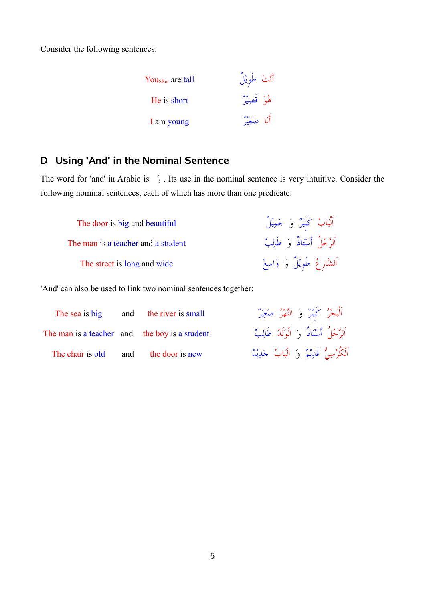Consider the following sentences:

| You <sub>sRm</sub> are tall | أَنْتَ طَوِيْلٌ |
|-----------------------------|-----------------|
| He is short                 | هُوَ قَصِيرٌ    |
| I am young                  | أَنَا صَغِيرٌ   |

### **D Using 'And' in the Nominal Sentence**

The word for 'and' in Arabic is  $\infty$ . Its use in the nominal sentence is very intuitive. Consider the following nominal sentences, each of which has more than one predicate:

The door is big and beautiful The man is a teacher and a student The street is long and wide

الباب كبير و جم الرجل أستاذ و طال الشَّارِعُ طوِيْلٍ وَ وَاسِ

'And' can also be used to link two nominal sentences together:

|                                               | The sea is big and the river is small |  |  | ٱلْبَحْرُ كَبِيْرٌ وَ النَّهْرُ صَغِيرٌ     |
|-----------------------------------------------|---------------------------------------|--|--|---------------------------------------------|
| The man is a teacher and the boy is a student |                                       |  |  | اَلرَّ جُلُ أَسْتَاذٌ وَ الْوَلَدُ طَالِبٌ  |
| The chair is old and the door is new          |                                       |  |  | اَلْكُرْسِيُّ قَدِيْمٌ وَ الْبَابُ جَدِيْدٌ |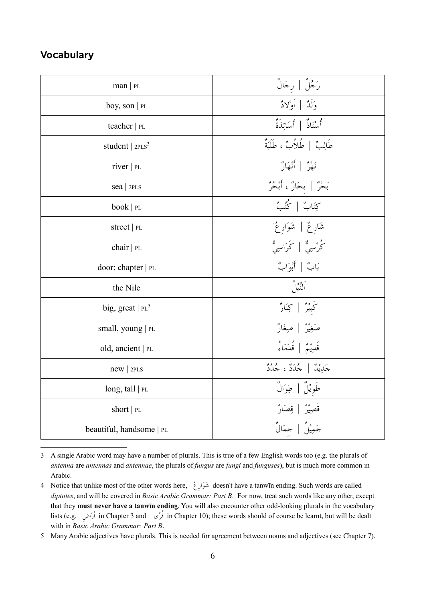### **Vocabulary**

| man   PL                 | رَجُلٌ   رجَالٌ                  |
|--------------------------|----------------------------------|
| boy, son   $PL$          | وَلَدٌ   أَوْلاَدٌ               |
| teacher $ PL$            | أُسْتَاذٌ   أَسَاتِذَةٌ          |
| student   $2PLS3$        | طَالِبٌ   طُلاَّبٌ ، طَلَبَةٌ    |
| river   PL               | نَهْرٌ   أَنْهَارٌ               |
| $sea$   2PLS             | بَحْرٌ   بحَارٌ ، أَبْحُرٌ ْ     |
| book   PL                | كِتَابٌ   كُتُبٌ                 |
| street   PL              | شَارِعٌ   شَوَارِعُ <sup>4</sup> |
| chair $ PL$              | م<br>كُرْسِيٌّ   كَرَاسِيُّ      |
| door; chapter   PL       | بَابٌ   أَبْوَابٌ                |
| the Nile                 | ألتيل                            |
| big, great   $PL^5$      | كَبِيرٌ   كِبَارٌ                |
| small, young   PL        | صَغِيْرٌ   صِغَارٌ               |
| old, ancient   PL        | قَلِيْمٌ   قُدَمَاءُ             |
| $new$   2PLS             | جَلِيْلٌ   جُلَدٌ ، جُلُدٌ       |
| long, tall $ PL$         | طَوِيْلٌ   طِوَالٌ               |
| short $ PL$              | قَصِيْرٌ   قِصَارٌ               |
| beautiful, handsome   PL |                                  |

<span id="page-6-0"></span><sup>3</sup> A single Arabic word may have a number of plurals. This is true of a few English words too (e.g. the plurals of *antenna* are *antennas* and *antennae*, the plurals of *fungus* are *fungi* and *funguses*), but is much more common in Arabic.

<span id="page-6-1"></span><sup>4</sup> Notice that unlike most of the other words here, 1عاروش doesn't have a tanwīn ending. Such words are called *diptotes*, and will be covered in *Basic Arabic Grammar: Part B*. For now, treat such words like any other, except that they **must never have a tanwīn ending**. You will also encounter other odd-looking plurals in the vocabulary lists (e.g. أرَاض in Chapter 3 and قرَّى in Chapter 10); these words should of course be learnt, but will be dealt with in *Basic Arabic Grammar: Part B*.

<span id="page-6-2"></span><sup>5</sup> Many Arabic adjectives have plurals. This is needed for agreement between nouns and adjectives (see Chapter 7).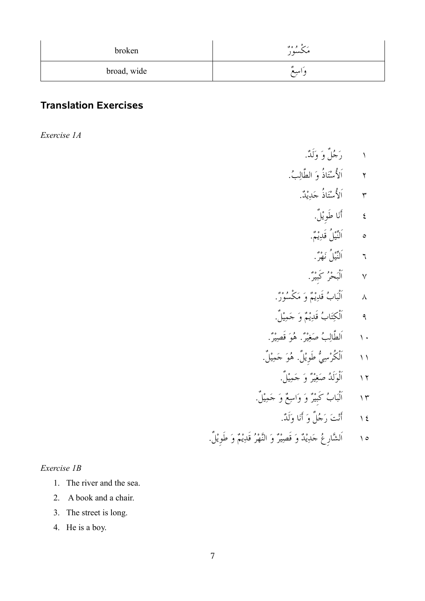| broken      | مَكْسُورٌ  |
|-------------|------------|
| broad, wide | 28<br>واسع |

# **Translation Exercises**

*Exercise 1A*

- ١ رَجُلٌ وَ وَلَدٌ.
- ٢ الأسْتَاذ وَ الطالِبُ.
	- ٣ الأسْتَاذ جَدِيْدٌ.
		- ٤ أنا طويل.
			- ٥ النَّيْل قدِيْمٌ.
		- ٦ النHيل نهر.
	- ٧ البحر كبير.
- ٨ البَابُ قَدِيْمٌ وَ مَكسُورٌ".
- ٩ الكِتَابُ قَدِيْمٌ وَ حَمِيْلٍ.
- ١٠ الطالِبُ صَغِيْرٌ. هُوَ قصِيْرٌ.
- ١١ الكرْسِيُّ طوِيْل. هُوَ جَمِيْل.
	- ١٢ الوَلَدُ صَغِيْرٌ وَ حَمِيْلٍ.
- ١٣ البَابُ كبيْرٌ وَ وَاسِعٌ وَ حَمِيْلٍ.
	- ١٤ أَنْتَ رَجُلٌ وَ أَنَا وَلَدٌ.
- ١٥ الشَّارِعُ حَدِيْدٌ وَ قصِيْرٌ وَ النَّهْرُ قدِيْمٌ وَ طويْل.

#### *Exercise 1B*

- 1. The river and the sea.
- 2. A book and a chair.
- 3. The street is long.
- 4. He is a boy.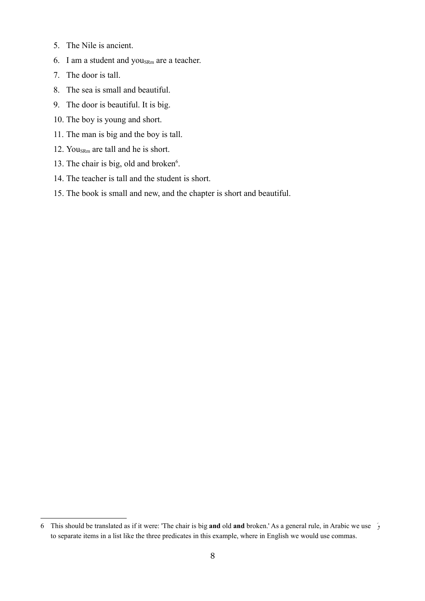- 5. The Nile is ancient.
- 6. I am a student and  $you_{SRm}$  are a teacher.
- 7. The door is tall.
- 8. The sea is small and beautiful.
- 9. The door is beautiful. It is big.
- 10. The boy is young and short.
- 11. The man is big and the boy is tall.
- 12. You<sub>SRm</sub> are tall and he is short.
- 13. The chair is big, old and broken<sup>[6](#page-8-0)</sup>.
- 14. The teacher is tall and the student is short.
- 15. The book is small and new, and the chapter is short and beautiful.

<span id="page-8-0"></span><sup>6</sup> This should be translated as if it were: 'The chair is big **and** old **and** broken.' As a general rule, in Arabic we use 1و to separate items in a list like the three predicates in this example, where in English we would use commas.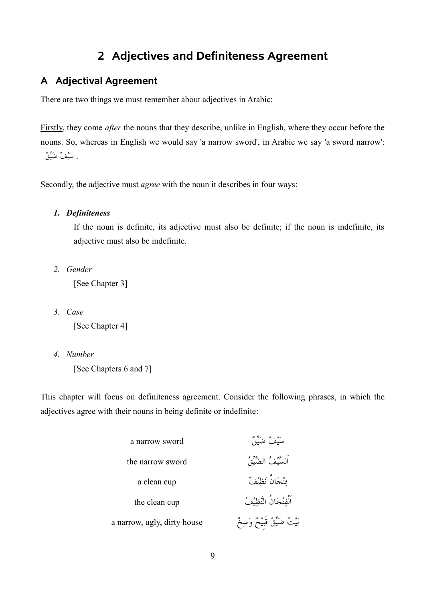# **2 Adjectives and Definiteness Agreement**

## **A Adjectival Agreement**

There are two things we must remember about adjectives in Arabic:

Firstly, they come *after* the nouns that they describe, unlike in English, where they occur before the nouns. So, whereas in English we would say 'a narrow sword', in Arabic we say 'a sword narrow': . سَيْفُ ضَيِّقُ

Secondly, the adjective must *agree* with the noun it describes in four ways:

#### *1. Definiteness*

If the noun is definite, its adjective must also be definite; if the noun is indefinite, its adjective must also be indefinite.

*2. Gender*

[See Chapter 3]

*3. Case*

[See Chapter 4]

*4. Number*

[See Chapters 6 and 7]

This chapter will focus on definiteness agreement. Consider the following phrases, in which the adjectives agree with their nouns in being definite or indefinite:

| a narrow sword              |                                |
|-----------------------------|--------------------------------|
| the narrow sword            | اَلسَّيْفُ الضَّيِّقُ          |
| a clean cup                 | فنْجَانٌ نَظِيْفٌ              |
| the clean cup               | ٱلْفنْجَانُ النَّظِيْفُ        |
| a narrow, ugly, dirty house | بَيْتٌ ضَيِّقٌ قَبِيْحٌ وَسِخٌ |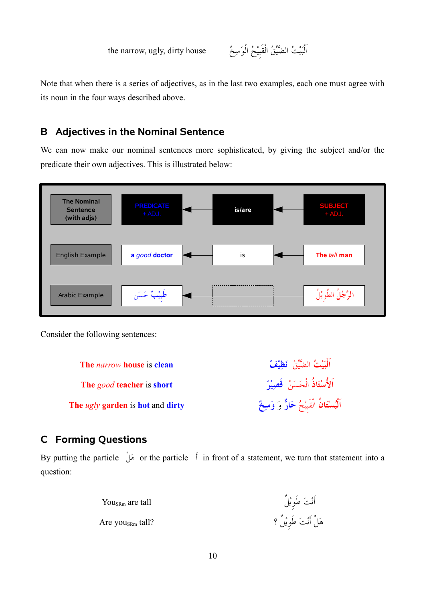the narrow, ugly, dirty house

البيت الضيHق القبيح الوس

Note that when there is a series of adjectives, as in the last two examples, each one must agree with its noun in the four ways described above.

# **B Adjectives in the Nominal Sentence**

We can now make our nominal sentences more sophisticated, by giving the subject and/or the predicate their own adjectives. This is illustrated below:



Consider the following sentences:

**البيت The** *narrow* **house** is **clean الستاذ** الحسن **قصير short** is **teacher** *good* **The** ا<mark>َلْبُسْتَانُ</mark> الْقَبَيْحُ حَارٌّ وَ وَسِخٌ **The** *ugly* **garden** is **hot** and **dirty** 

# **C Forming Questions**

By putting the particle 1له or the particle 1أ in front of a statement, we turn that statement into a question:

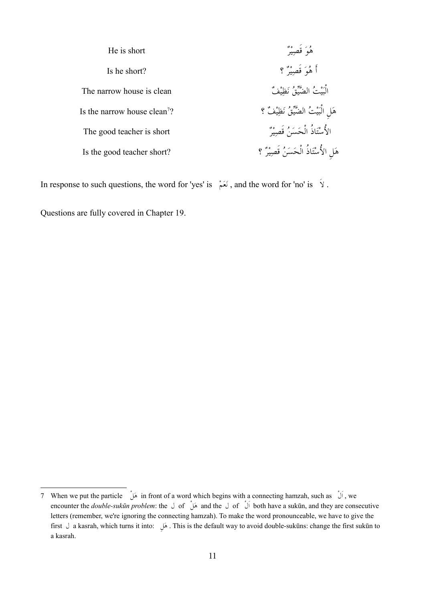| He is short                              | هُمَ قَصِيرٌ                          |
|------------------------------------------|---------------------------------------|
| Is he short?                             | أَ هُوَ قَصِيرٌ ؟                     |
| The narrow house is clean                | الْبَيْتُ الضَّيِّقُ نَظِيْفُ         |
| Is the narrow house clean <sup>7</sup> ? | هَلِ الْبَيْتُ الضَّيِّقُ نَظِيْفٌ ؟  |
| The good teacher is short                | الأُسْتَاذُ الْحَسَنُ قَصِيْرٌ        |
| Is the good teacher short?               | هَلِ الأُسْتَاذُ الْحَسَنُ قَصِيْرٌ ؟ |

In response to such questions, the word for 'yes' is  $\leftrightarrow$ , and the word for 'no' is  $\leftrightarrow$ .

Questions are fully covered in Chapter 19.

<span id="page-11-0"></span><sup>7</sup> When we put the particle 1له in front of a word which begins with a connecting hamzah, such as 1لا , we encounter the *double-sukūn problem*: the ل of 1له and the ل of 1لا both have a sukūn, and they are consecutive letters (remember, we're ignoring the connecting hamzah). To make the word pronounceable, we have to give the first ل a kasrah, which turns it into: 1له . This is the default way to avoid double-sukūns: change the first sukūn to a kasrah.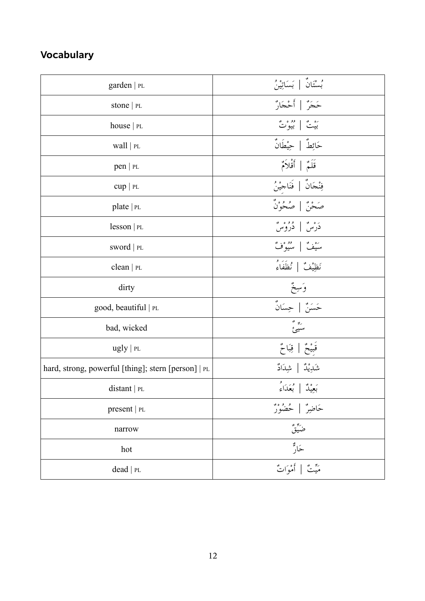# **Vocabulary**

| garden   PL                                         | بُسْتَانٌ   بَسَاتِينُ                    |
|-----------------------------------------------------|-------------------------------------------|
| stone   PL                                          | حَجَرٌ   أَحْجَارٌ                        |
| house $ PL$                                         | <sup>ره م</sup> ُ   <sup>مِوْ ه</sup> ُ ] |
| wall $ PL$                                          | حَائِطٌ   حِيْطَانٌ                       |
| pen   PL                                            | قَلَمٌ   أَقْلاَمٌ                        |
| $cup$   PL                                          | فِنْجَانٌ   فَنَاجِيْنُ                   |
| plate $ PL$                                         | صَحْنٌ   صُحُوْنٌ                         |
| lesson  PL                                          | دَرْسٌ   دُرُوْسٌ                         |
| SWOrd   PL                                          | سَيْفٌ   سُيُوْفٌ                         |
| clean   $PL$                                        | نَظِيْفٌ   نُظَفَاءُ                      |
| dirty                                               | وَسِخٌ<br>حَسَنٌ   حِسَانٌ                |
| good, beautiful   PL                                |                                           |
| bad, wicked                                         | ریں <sup>پو</sup><br>سىيىئ                |
| ugly   p <sub>L</sub>                               | قَبِيْحٌ   قِبَاحٌ                        |
| hard, strong, powerful [thing]; stern [person]   PL | شَدِيْدٌ   شِدَادٌ                        |
| $distant$   PL                                      | بَعِيْدٌ   بُعَدَاءُ                      |
| present   PL                                        |                                           |
| narrow                                              |                                           |
| hot                                                 | ځار                                       |
| dead   PL                                           | مَيّتٌ   أَمْوَاتٌ                        |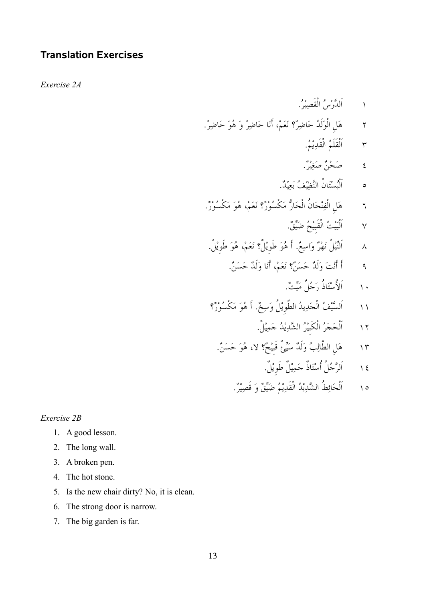### **Translation Exercises**

*Exercise 2A*

- ١ الدَّرْسُ القصِيْرُ.
- ٢ ٪ مَعَلِ الوَلدُ حَاضِرٌ؟ نَعَمْ، أَنَا حَاضِرٌ وَ هُوَ حَاضِرٌ.
	- ٣ القلم القد يم.
	- ٤ صَحْنٌ صَغِيْرٌ.
	- ه البُسْتَان النَّظِيْفُ بَعِيْدٌ.
- ٦ هل الف نجان الحار7 مكسور؟ نعم، هو مكسور.
	- ٧ اَلْبَيْتُ الْقَبِيْحُ ضَيِّقٌ.
	- ٨ النَّيْل نَهْرٌ وَاسِعٌ. أَ هُوَ طوِيْل؟ نَعَمْ، هُوَ طوِيْل.
		- ٩ ٪ أَ أَنْتَ وَلَدٌ حَسَنٌ؟ نَعَمْ، أَنَا وَلَدٌ حَسَنٌ.
			- ١٠ \_ \_ اَلأُسْتَاذُ دَجُلٌ مَيّتٌ.
- ١١ السَّيْفُ الحَدِيدُ الطوِيْل وَسِخٌ. أَ هُوَ مَكسُوْرٌ؟
	- ١٢ الحَجَرُ الكبيْرُ الشَّدِيْدُ حَمِيْلٍ.
	- ١٣ ٪ هَلِ الطالِبُ وَلَدٌ سَيِّئَ قَبَيْحٌ؟ لا، هُوَ حَسَنٌ.
		- ١٤ الرَّحْل أَسْتَاذ حَمِيْل طوِيْل.
		- ١٥ الحَائِط الشَّدِيْدُ القدِيْمُ ضَيِّقٌ وَ قصِيْرٌ.

#### *Exercise 2B*

- 1. A good lesson.
- 2. The long wall.
- 3. A broken pen.
- 4. The hot stone.
- 5. Is the new chair dirty? No, it is clean.
- 6. The strong door is narrow.
- 7. The big garden is far.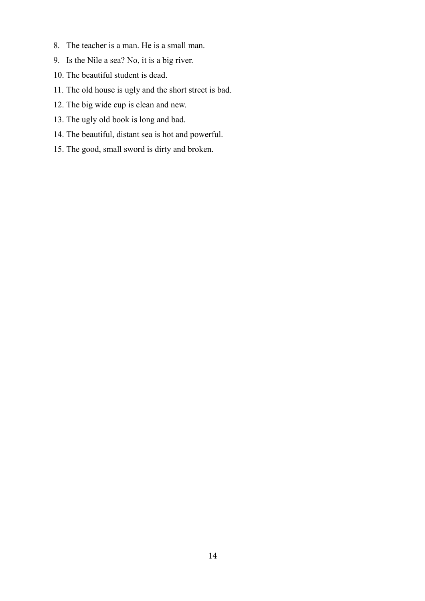- 8. The teacher is a man. He is a small man.
- 9. Is the Nile a sea? No, it is a big river.
- 10. The beautiful student is dead.
- 11. The old house is ugly and the short street is bad.
- 12. The big wide cup is clean and new.
- 13. The ugly old book is long and bad.
- 14. The beautiful, distant sea is hot and powerful.
- 15. The good, small sword is dirty and broken.